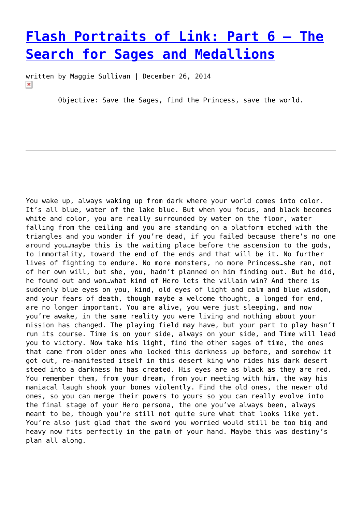# **[Flash Portraits of Link: Part 6 – The](https://entropymag.org/flash-portraits-of-link-part-6-the-search-for-sages-and-medallions/) [Search for Sages and Medallions](https://entropymag.org/flash-portraits-of-link-part-6-the-search-for-sages-and-medallions/)**

written by Maggie Sullivan | December 26, 2014  $\pmb{\times}$ 

Objective: Save the Sages, find the Princess, save the world.

You wake up, always waking up from dark where your world comes into color. It's all blue, water of the lake blue. But when you focus, and black becomes white and color, you are really surrounded by water on the floor, water falling from the ceiling and you are standing on a platform etched with the triangles and you wonder if you're dead, if you failed because there's no one around you…maybe this is the waiting place before the ascension to the gods, to immortality, toward the end of the ends and that will be it. No further lives of fighting to endure. No more monsters, no more Princess…she ran, not of her own will, but she, you, hadn't planned on him finding out. But he did, he found out and won…what kind of Hero lets the villain win? And there is suddenly blue eyes on you, kind, old eyes of light and calm and blue wisdom, and your fears of death, though maybe a welcome thought, a longed for end, are no longer important. You are alive, you were just sleeping, and now you're awake, in the same reality you were living and nothing about your mission has changed. The playing field may have, but your part to play hasn't run its course. Time is on your side, always on your side, and Time will lead you to victory. Now take his light, find the other sages of time, the ones that came from older ones who locked this darkness up before, and somehow it got out, re-manifested itself in this desert king who rides his dark desert steed into a darkness he has created. His eyes are as black as they are red. You remember them, from your dream, from your meeting with him, the way his maniacal laugh shook your bones violently. Find the old ones, the newer old ones, so you can merge their powers to yours so you can really evolve into the final stage of your Hero persona, the one you've always been, always meant to be, though you're still not quite sure what that looks like yet. You're also just glad that the sword you worried would still be too big and heavy now fits perfectly in the palm of your hand. Maybe this was destiny's plan all along.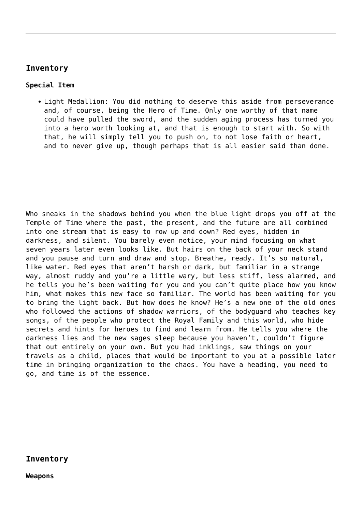# **Inventory**

## **Special Item**

• Light Medallion: You did nothing to deserve this aside from perseverance and, of course, being the Hero of Time. Only one worthy of that name could have pulled the sword, and the sudden aging process has turned you into a hero worth looking at, and that is enough to start with. So with that, he will simply tell you to push on, to not lose faith or heart, and to never give up, though perhaps that is all easier said than done.

Who sneaks in the shadows behind you when the blue light drops you off at the Temple of Time where the past, the present, and the future are all combined into one stream that is easy to row up and down? Red eyes, hidden in darkness, and silent. You barely even notice, your mind focusing on what seven years later even looks like. But hairs on the back of your neck stand and you pause and turn and draw and stop. Breathe, ready. It's so natural, like water. Red eyes that aren't harsh or dark, but familiar in a strange way, almost ruddy and you're a little wary, but less stiff, less alarmed, and he tells you he's been waiting for you and you can't quite place how you know him, what makes this new face so familiar. The world has been waiting for you to bring the light back. But how does he know? He's a new one of the old ones who followed the actions of shadow warriors, of the bodyguard who teaches key songs, of the people who protect the Royal Family and this world, who hide secrets and hints for heroes to find and learn from. He tells you where the darkness lies and the new sages sleep because you haven't, couldn't figure that out entirely on your own. But you had inklings, saw things on your travels as a child, places that would be important to you at a possible later time in bringing organization to the chaos. You have a heading, you need to go, and time is of the essence.

### **Inventory**

**Weapons**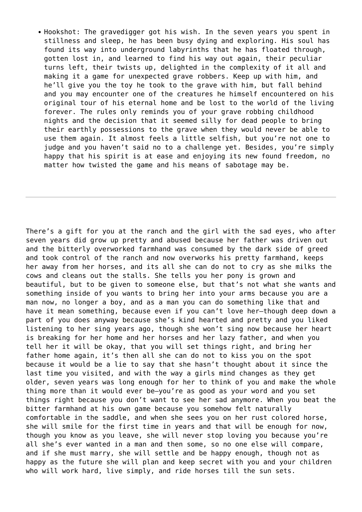• Hookshot: The gravedigger got his wish. In the seven years you spent in stillness and sleep, he has been busy dying and exploring. His soul has found its way into underground labyrinths that he has floated through, gotten lost in, and learned to find his way out again, their peculiar turns left, their twists up, delighted in the complexity of it all and making it a game for unexpected grave robbers. Keep up with him, and he'll give you the toy he took to the grave with him, but fall behind and you may encounter one of the creatures he himself encountered on his original tour of his eternal home and be lost to the world of the living forever. The rules only reminds you of your grave robbing childhood nights and the decision that it seemed silly for dead people to bring their earthly possessions to the grave when they would never be able to use them again. It almost feels a little selfish, but you're not one to judge and you haven't said no to a challenge yet. Besides, you're simply happy that his spirit is at ease and enjoying its new found freedom, no matter how twisted the game and his means of sabotage may be.

There's a gift for you at the ranch and the girl with the sad eyes, who after seven years did grow up pretty and abused because her father was driven out and the bitterly overworked farmhand was consumed by the dark side of greed and took control of the ranch and now overworks his pretty farmhand, keeps her away from her horses, and its all she can do not to cry as she milks the cows and cleans out the stalls. She tells you her pony is grown and beautiful, but to be given to someone else, but that's not what she wants and something inside of you wants to bring her into your arms because you are a man now, no longer a boy, and as a man you can do something like that and have it mean something, because even if you can't love her—though deep down a part of you does anyway because she's kind hearted and pretty and you liked listening to her sing years ago, though she won't sing now because her heart is breaking for her home and her horses and her lazy father, and when you tell her it will be okay, that you will set things right, and bring her father home again, it's then all she can do not to kiss you on the spot because it would be a lie to say that she hasn't thought about it since the last time you visited, and with the way a girls mind changes as they get older, seven years was long enough for her to think of you and make the whole thing more than it would ever be—you're as good as your word and you set things right because you don't want to see her sad anymore. When you beat the bitter farmhand at his own game because you somehow felt naturally comfortable in the saddle, and when she sees you on her rust colored horse, she will smile for the first time in years and that will be enough for now, though you know as you leave, she will never stop loving you because you're all she's ever wanted in a man and then some, so no one else will compare, and if she must marry, she will settle and be happy enough, though not as happy as the future she will plan and keep secret with you and your children who will work hard, live simply, and ride horses till the sun sets.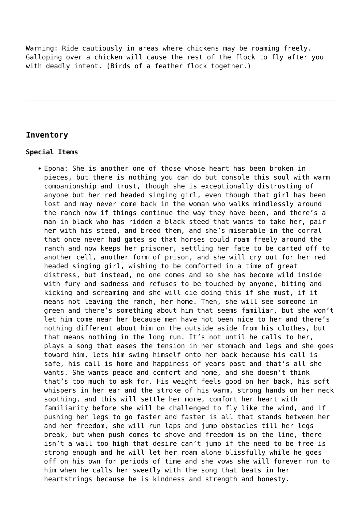Warning: Ride cautiously in areas where chickens may be roaming freely. Galloping over a chicken will cause the rest of the flock to fly after you with deadly intent. (Birds of a feather flock together.)

# **Inventory**

#### **Special Items**

Epona: She is another one of those whose heart has been broken in pieces, but there is nothing you can do but console this soul with warm companionship and trust, though she is exceptionally distrusting of anyone but her red headed singing girl, even though that girl has been lost and may never come back in the woman who walks mindlessly around the ranch now if things continue the way they have been, and there's a man in black who has ridden a black steed that wants to take her, pair her with his steed, and breed them, and she's miserable in the corral that once never had gates so that horses could roam freely around the ranch and now keeps her prisoner, settling her fate to be carted off to another cell, another form of prison, and she will cry out for her red headed singing girl, wishing to be comforted in a time of great distress, but instead, no one comes and so she has become wild inside with fury and sadness and refuses to be touched by anyone, biting and kicking and screaming and she will die doing this if she must, if it means not leaving the ranch, her home. Then, she will see someone in green and there's something about him that seems familiar, but she won't let him come near her because men have not been nice to her and there's nothing different about him on the outside aside from his clothes, but that means nothing in the long run. It's not until he calls to her, plays a song that eases the tension in her stomach and legs and she goes toward him, lets him swing himself onto her back because his call is safe, his call is home and happiness of years past and that's all she wants. She wants peace and comfort and home, and she doesn't think that's too much to ask for. His weight feels good on her back, his soft whispers in her ear and the stroke of his warm, strong hands on her neck soothing, and this will settle her more, comfort her heart with familiarity before she will be challenged to fly like the wind, and if pushing her legs to go faster and faster is all that stands between her and her freedom, she will run laps and jump obstacles till her legs break, but when push comes to shove and freedom is on the line, there isn't a wall too high that desire can't jump if the need to be free is strong enough and he will let her roam alone blissfully while he goes off on his own for periods of time and she vows she will forever run to him when he calls her sweetly with the song that beats in her heartstrings because he is kindness and strength and honesty.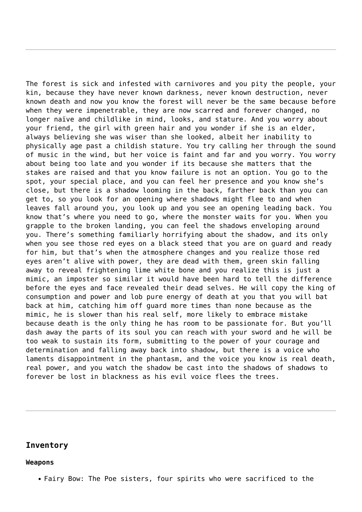The forest is sick and infested with carnivores and you pity the people, your kin, because they have never known darkness, never known destruction, never known death and now you know the forest will never be the same because before when they were impenetrable, they are now scarred and forever changed, no longer naïve and childlike in mind, looks, and stature. And you worry about your friend, the girl with green hair and you wonder if she is an elder, always believing she was wiser than she looked, albeit her inability to physically age past a childish stature. You try calling her through the sound of music in the wind, but her voice is faint and far and you worry. You worry about being too late and you wonder if its because she matters that the stakes are raised and that you know failure is not an option. You go to the spot, your special place, and you can feel her presence and you know she's close, but there is a shadow looming in the back, farther back than you can get to, so you look for an opening where shadows might flee to and when leaves fall around you, you look up and you see an opening leading back. You know that's where you need to go, where the monster waits for you. When you grapple to the broken landing, you can feel the shadows enveloping around you. There's something familiarly horrifying about the shadow, and its only when you see those red eyes on a black steed that you are on guard and ready for him, but that's when the atmosphere changes and you realize those red eyes aren't alive with power, they are dead with them, green skin falling away to reveal frightening lime white bone and you realize this is just a mimic, an imposter so similar it would have been hard to tell the difference before the eyes and face revealed their dead selves. He will copy the king of consumption and power and lob pure energy of death at you that you will bat back at him, catching him off guard more times than none because as the mimic, he is slower than his real self, more likely to embrace mistake because death is the only thing he has room to be passionate for. But you'll dash away the parts of its soul you can reach with your sword and he will be too weak to sustain its form, submitting to the power of your courage and determination and falling away back into shadow, but there is a voice who laments disappointment in the phantasm, and the voice you know is real death, real power, and you watch the shadow be cast into the shadows of shadows to forever be lost in blackness as his evil voice flees the trees.

#### **Inventory**

#### **Weapons**

Fairy Bow: The Poe sisters, four spirits who were sacrificed to the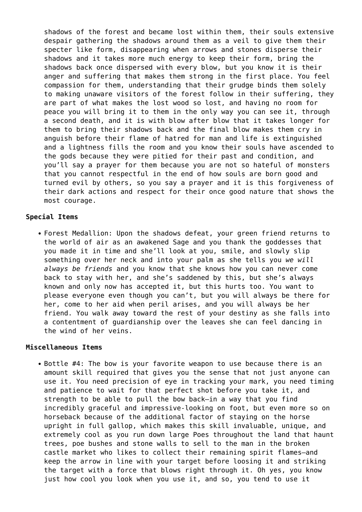shadows of the forest and became lost within them, their souls extensive despair gathering the shadows around them as a veil to give them their specter like form, disappearing when arrows and stones disperse their shadows and it takes more much energy to keep their form, bring the shadows back once dispersed with every blow, but you know it is their anger and suffering that makes them strong in the first place. You feel compassion for them, understanding that their grudge binds them solely to making unaware visitors of the forest follow in their suffering, they are part of what makes the lost wood so lost, and having no room for peace you will bring it to them in the only way you can see it, through a second death, and it is with blow after blow that it takes longer for them to bring their shadows back and the final blow makes them cry in anguish before their flame of hatred for man and life is extinguished and a lightness fills the room and you know their souls have ascended to the gods because they were pitied for their past and condition, and you'll say a prayer for them because you are not so hateful of monsters that you cannot respectful in the end of how souls are born good and turned evil by others, so you say a prayer and it is this forgiveness of their dark actions and respect for their once good nature that shows the most courage.

#### **Special Items**

Forest Medallion: Upon the shadows defeat, your green friend returns to the world of air as an awakened Sage and you thank the goddesses that you made it in time and she'll look at you, smile, and slowly slip something over her neck and into your palm as she tells you *we will always be friends* and you know that she knows how you can never come back to stay with her, and she's saddened by this, but she's always known and only now has accepted it, but this hurts too. You want to please everyone even though you can't, but you will always be there for her, come to her aid when peril arises, and you will always be her friend. You walk away toward the rest of your destiny as she falls into a contentment of guardianship over the leaves she can feel dancing in the wind of her veins.

#### **Miscellaneous Items**

• Bottle #4: The bow is your favorite weapon to use because there is an amount skill required that gives you the sense that not just anyone can use it. You need precision of eye in tracking your mark, you need timing and patience to wait for that perfect shot before you take it, and strength to be able to pull the bow back—in a way that you find incredibly graceful and impressive-looking on foot, but even more so on horseback because of the additional factor of staying on the horse upright in full gallop, which makes this skill invaluable, unique, and extremely cool as you run down large Poes throughout the land that haunt trees, poe bushes and stone walls to sell to the man in the broken castle market who likes to collect their remaining spirit flames—and keep the arrow in line with your target before loosing it and striking the target with a force that blows right through it. Oh yes, you know just how cool you look when you use it, and so, you tend to use it